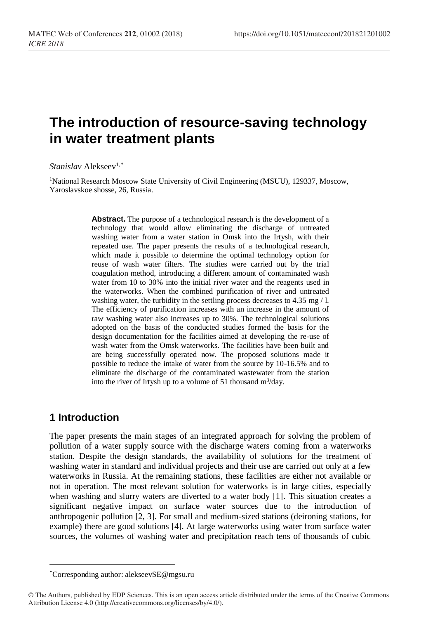# **The introduction of resource-saving technology in water treatment plants**

*Stanislav* Alekseev1,*\**

<sup>1</sup>National Research Moscow State University of Civil Engineering (MSUU), 129337, Moscow, Yaroslavskoe shosse, 26, Russia.

> Abstract. The purpose of a technological research is the development of a technology that would allow eliminating the discharge of untreated washing water from a water station in Omsk into the Irtysh, with their repeated use. The paper presents the results of a technological research, which made it possible to determine the optimal technology option for reuse of wash water filters. The studies were carried out by the trial coagulation method, introducing a different amount of contaminated wash water from 10 to 30% into the initial river water and the reagents used in the waterworks. When the combined purification of river and untreated washing water, the turbidity in the settling process decreases to 4.35 mg / l. The efficiency of purification increases with an increase in the amount of raw washing water also increases up to 30%. The technological solutions adopted on the basis of the conducted studies formed the basis for the design documentation for the facilities aimed at developing the re-use of wash water from the Omsk waterworks. The facilities have been built and are being successfully operated now. The proposed solutions made it possible to reduce the intake of water from the source by 10-16.5% and to eliminate the discharge of the contaminated wastewater from the station into the river of Irtysh up to a volume of 51 thousand  $m^3$ /day.

# **1 Introduction**

l

The paper presents the main stages of an integrated approach for solving the problem of pollution of a water supply source with the discharge waters coming from a waterworks station. Despite the design standards, the availability of solutions for the treatment of washing water in standard and individual projects and their use are carried out only at a few waterworks in Russia. At the remaining stations, these facilities are either not available or not in operation. The most relevant solution for waterworks is in large cities, especially when washing and slurry waters are diverted to a water body [1]. This situation creates a significant negative impact on surface water sources due to the introduction of anthropogenic pollution [2, 3]. For small and medium-sized stations (deironing stations, for example) there are good solutions [4]. At large waterworks using water from surface water sources, the volumes of washing water and precipitation reach tens of thousands of cubic

<sup>\*</sup>Corresponding author: alekseevSE@mgsu.ru

<sup>©</sup> The Authors, published by EDP Sciences. This is an open access article distributed under the terms of the Creative Commons Attribution License 4.0 (http://creativecommons.org/licenses/by/4.0/).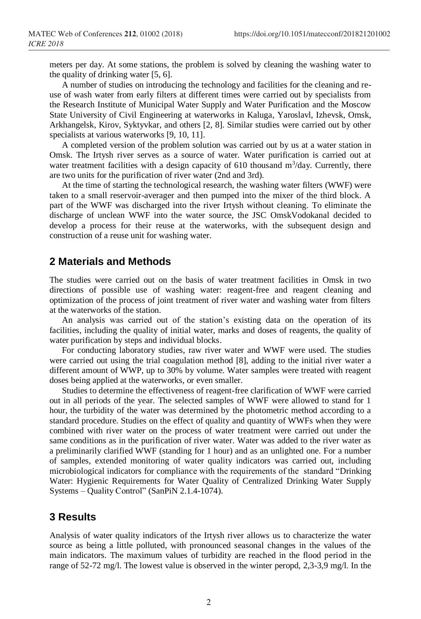meters per day. At some stations, the problem is solved by cleaning the washing water to the quality of drinking water [5, 6].

A number of studies on introducing the technology and facilities for the cleaning and reuse of wash water from early filters at different times were carried out by specialists from the Research Institute of Municipal Water Supply and Water Purification and the Moscow State University of Civil Engineering at waterworks in Kaluga, Yaroslavl, Izhevsk, Omsk, Arkhangelsk, Kirov, Syktyvkar, and others [2, 8]. Similar studies were carried out by other specialists at various waterworks [9, 10, 11].

A completed version of the problem solution was carried out by us at a water station in Omsk. The Irtysh river serves as a source of water. Water purification is carried out at water treatment facilities with a design capacity of  $610$  thousand  $m^3$ /day. Currently, there are two units for the purification of river water (2nd and 3rd).

At the time of starting the technological research, the washing water filters (WWF) were taken to a small reservoir-averager and then pumped into the mixer of the third block. A part of the WWF was discharged into the river Irtysh without cleaning. To eliminate the discharge of unclean WWF into the water source, the JSC OmskVodokanal decided to develop a process for their reuse at the waterworks, with the subsequent design and construction of a reuse unit for washing water.

#### **2 Materials and Methods**

The studies were carried out on the basis of water treatment facilities in Omsk in two directions of possible use of washing water: reagent-free and reagent cleaning and optimization of the process of joint treatment of river water and washing water from filters at the waterworks of the station.

An analysis was carried out of the station's existing data on the operation of its facilities, including the quality of initial water, marks and doses of reagents, the quality of water purification by steps and individual blocks.

For conducting laboratory studies, raw river water and WWF were used. The studies were carried out using the trial coagulation method [8], adding to the initial river water a different amount of WWP, up to 30% by volume. Water samples were treated with reagent doses being applied at the waterworks, or even smaller.

Studies to determine the effectiveness of reagent-free clarification of WWF were carried out in all periods of the year. The selected samples of WWF were allowed to stand for 1 hour, the turbidity of the water was determined by the photometric method according to a standard procedure. Studies on the effect of quality and quantity of WWFs when they were combined with river water on the process of water treatment were carried out under the same conditions as in the purification of river water. Water was added to the river water as a preliminarily clarified WWF (standing for 1 hour) and as an unlighted one. For a number of samples, extended monitoring of water quality indicators was carried out, including microbiological indicators for compliance with the requirements of the standard "Drinking Water: Hygienic Requirements for Water Quality of Centralized Drinking Water Supply Systems – Quality Control" (SanPiN 2.1.4-1074).

### **3 Results**

Analysis of water quality indicators of the Irtysh river allows us to characterize the water source as being a little polluted, with pronounced seasonal changes in the values of the main indicators. The maximum values of turbidity are reached in the flood period in the range of 52-72 mg/l. The lowest value is observed in the winter peropd, 2,3-3,9 mg/l. In the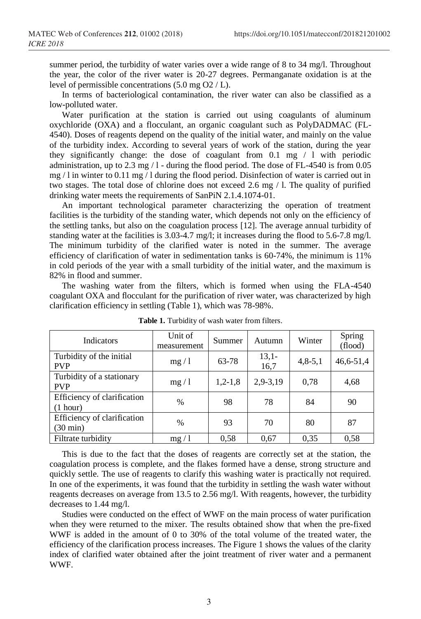summer period, the turbidity of water varies over a wide range of 8 to 34 mg/l. Throughout the year, the color of the river water is 20-27 degrees. Permanganate oxidation is at the level of permissible concentrations (5.0 mg O2 / L).

In terms of bacteriological contamination, the river water can also be classified as a low-polluted water.

Water purification at the station is carried out using coagulants of aluminum oxychloride (OXA) and a flocculant, an organic coagulant such as PolyDADMAC (FL-4540). Doses of reagents depend on the quality of the initial water, and mainly on the value of the turbidity index. According to several years of work of the station, during the year they significantly change: the dose of coagulant from 0.1 mg / l with periodic administration, up to 2.3 mg  $/1$  - during the flood period. The dose of FL-4540 is from 0.05 mg / l in winter to 0.11 mg / l during the flood period. Disinfection of water is carried out in two stages. The total dose of chlorine does not exceed 2.6 mg / l. The quality of purified drinking water meets the requirements of SanPiN 2.1.4.1074-01.

An important technological parameter characterizing the operation of treatment facilities is the turbidity of the standing water, which depends not only on the efficiency of the settling tanks, but also on the coagulation process [12]. The average annual turbidity of standing water at the facilities is 3.03-4.7 mg/l; it increases during the flood to 5.6-7.8 mg/l. The minimum turbidity of the clarified water is noted in the summer. The average efficiency of clarification of water in sedimentation tanks is 60-74%, the minimum is 11% in cold periods of the year with a small turbidity of the initial water, and the maximum is 82% in flood and summer.

The washing water from the filters, which is formed when using the FLA-4540 coagulant OXA and flocculant for the purification of river water, was characterized by high clarification efficiency in settling (Table 1), which was 78-98%.

| Indicators                                        | Unit of<br>measurement | Summer    | Autumn          | Winter    | Spring<br>(flood) |
|---------------------------------------------------|------------------------|-----------|-----------------|-----------|-------------------|
| Turbidity of the initial<br><b>PVP</b>            | mg/1                   | 63-78     | $13,1-$<br>16,7 | $4,8-5,1$ | 46,6-51,4         |
| Turbidity of a stationary<br><b>PVP</b>           | mg/1                   | $1,2-1,8$ | $2,9-3,19$      | 0.78      | 4,68              |
| Efficiency of clarification<br>(1 hour)           | $\%$                   | 98        | 78              | 84        | 90                |
| Efficiency of clarification<br>$(30 \text{ min})$ | $\frac{0}{0}$          | 93        | 70              | 80        | 87                |
| Filtrate turbidity                                | mg/1                   | 0.58      | 0.67            | 0,35      | 0.58              |

**Table 1.** Turbidity of wash water from filters.

This is due to the fact that the doses of reagents are correctly set at the station, the coagulation process is complete, and the flakes formed have a dense, strong structure and quickly settle. The use of reagents to clarify this washing water is practically not required. In one of the experiments, it was found that the turbidity in settling the wash water without reagents decreases on average from 13.5 to 2.56 mg/l. With reagents, however, the turbidity decreases to 1.44 mg/l.

Studies were conducted on the effect of WWF on the main process of water purification when they were returned to the mixer. The results obtained show that when the pre-fixed WWF is added in the amount of 0 to 30% of the total volume of the treated water, the efficiency of the clarification process increases. The Figure 1 shows the values of the clarity index of clarified water obtained after the joint treatment of river water and a permanent WWF.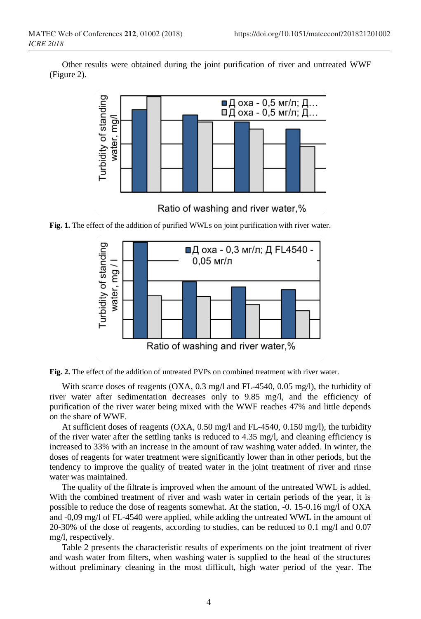Other results were obtained during the joint purification of river and untreated WWF (Figure 2).



Ratio of washing and river water,%

**Fig. 1.** The effect of the addition of purified WWLs on joint purification with river water.





With scarce doses of reagents (OXA, 0.3 mg/l and FL-4540, 0.05 mg/l), the turbidity of river water after sedimentation decreases only to 9.85 mg/l, and the efficiency of purification of the river water being mixed with the WWF reaches 47% and little depends on the share of WWF.

At sufficient doses of reagents (OXA, 0.50 mg/l and FL-4540, 0.150 mg/l), the turbidity of the river water after the settling tanks is reduced to  $4.35 \text{ mg/l}$ , and cleaning efficiency is increased to 33% with an increase in the amount of raw washing water added. In winter, the doses of reagents for water treatment were significantly lower than in other periods, but the tendency to improve the quality of treated water in the joint treatment of river and rinse water was maintained.

The quality of the filtrate is improved when the amount of the untreated WWL is added. With the combined treatment of river and wash water in certain periods of the year, it is possible to reduce the dose of reagents somewhat. At the station, -0. 15-0.16 mg/l of OXA and -0,09 mg/l of FL-4540 were applied, while adding the untreated WWL in the amount of 20-30% of the dose of reagents, according to studies, can be reduced to 0.1 mg/l and 0.07 mg/l, respectively.

Table 2 presents the characteristic results of experiments on the joint treatment of river and wash water from filters, when washing water is supplied to the head of the structures without preliminary cleaning in the most difficult, high water period of the year. The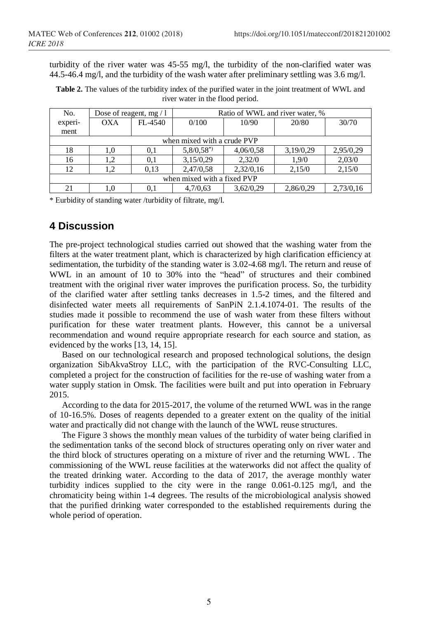turbidity of the river water was 45-55 mg/l, the turbidity of the non-clarified water was 44.5-46.4 mg/l, and the turbidity of the wash water after preliminary settling was 3.6 mg/l.

| No.                         | Dose of reagent, $mg/1$ |         | Ratio of WWL and river water, % |           |           |           |  |  |  |
|-----------------------------|-------------------------|---------|---------------------------------|-----------|-----------|-----------|--|--|--|
| experi-                     | <b>OXA</b>              | FL-4540 | 0/100                           | 10/90     | 20/80     | 30/70     |  |  |  |
| ment                        |                         |         |                                 |           |           |           |  |  |  |
| when mixed with a crude PVP |                         |         |                                 |           |           |           |  |  |  |
| 18                          | 1,0                     | 0.1     | $5,8/0,58^*$                    | 4,06/0,58 | 3,19/0,29 | 2,95/0,29 |  |  |  |
| 16                          | 1,2                     | 0.1     | 3,15/0,29                       | 2.32/0    | 1,9/0     | 2,03/0    |  |  |  |
| 12                          | 1,2                     | 0.13    | 2,47/0,58                       | 2,32/0,16 | 2,15/0    | 2,15/0    |  |  |  |
| when mixed with a fixed PVP |                         |         |                                 |           |           |           |  |  |  |
| 21                          | 1,0                     | 0.1     | 4,7/0,63                        | 3,62/0,29 | 2,86/0,29 | 2,73/0,16 |  |  |  |

**Table 2.** The values of the turbidity index of the purified water in the joint treatment of WWL and river water in the flood period.

\* Еurbidity of standing water /turbidity of filtrate, mg/l.

# **4 Discussion**

The pre-project technological studies carried out showed that the washing water from the filters at the water treatment plant, which is characterized by high clarification efficiency at sedimentation, the turbidity of the standing water is 3.02-4.68 mg/l. The return and reuse of WWL in an amount of 10 to 30% into the "head" of structures and their combined treatment with the original river water improves the purification process. So, the turbidity of the clarified water after settling tanks decreases in 1.5-2 times, and the filtered and disinfected water meets all requirements of SanPiN 2.1.4.1074-01. The results of the studies made it possible to recommend the use of wash water from these filters without purification for these water treatment plants. However, this cannot be a universal recommendation and wound require appropriate research for each source and station, as evidenced by the works [13, 14, 15].

Based on our technological research and proposed technological solutions, the design organization SibAkvaStroy LLC, with the participation of the RVC-Consulting LLC, completed a project for the construction of facilities for the re-use of washing water from a water supply station in Omsk. The facilities were built and put into operation in February 2015.

According to the data for 2015-2017, the volume of the returned WWL was in the range of 10-16.5%. Doses of reagents depended to a greater extent on the quality of the initial water and practically did not change with the launch of the WWL reuse structures.

The Figure 3 shows the monthly mean values of the turbidity of water being clarified in the sedimentation tanks of the second block of structures operating only on river water and the third block of structures operating on a mixture of river and the returning WWL . The commissioning of the WWL reuse facilities at the waterworks did not affect the quality of the treated drinking water. According to the data of 2017, the average monthly water turbidity indices supplied to the city were in the range 0.061-0.125 mg/l, and the chromaticity being within 1-4 degrees. The results of the microbiological analysis showed that the purified drinking water corresponded to the established requirements during the whole period of operation.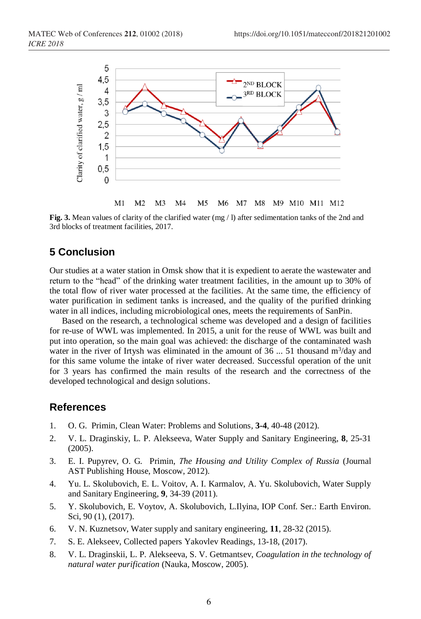

 $M<sub>1</sub>$  $M<sub>2</sub>$  $M<sub>3</sub>$  $M<sub>4</sub>$  $M<sub>5</sub>$ M6 M7 M8 M9 M10 M11 M12

**Fig. 3.** Mean values of clarity of the clarified water (mg / l) after sedimentation tanks of the 2nd and 3rd blocks of treatment facilities, 2017.

#### **5 Conclusion**

Our studies at a water station in Omsk show that it is expedient to aerate the wastewater and return to the "head" of the drinking water treatment facilities, in the amount up to 30% of the total flow of river water processed at the facilities. At the same time, the efficiency of water purification in sediment tanks is increased, and the quality of the purified drinking water in all indices, including microbiological ones, meets the requirements of SanPin.

Based on the research, a technological scheme was developed and a design of facilities for re-use of WWL was implemented. In 2015, a unit for the reuse of WWL was built and put into operation, so the main goal was achieved: the discharge of the contaminated wash water in the river of Irtysh was eliminated in the amount of  $36 \dots 51$  thousand m<sup>3</sup>/day and for this same volume the intake of river water decreased. Successful operation of the unit for 3 years has confirmed the main results of the research and the correctness of the developed technological and design solutions.

#### **References**

- 1. O. G. Primin, Clean Water: Problems and Solutions, **3-4**, 40-48 (2012).
- 2. V. L. Draginskiy, L. P. Alekseeva, Water Supply and Sanitary Engineering, **8**, 25-31 (2005).
- 3. E. I. Pupyrev, O. G*.* Primin, *Тhe Housing and Utility Complex of Russia* (Journal AST Publishing House, Moscow, 2012).
- 4. Yu. L. Skolubovich, E. L. Voitov, A. I. Karmalov, A. Yu. Skolubovich, Water Supply and Sanitary Engineering, **9**, 34-39 (2011).
- 5. Y. Skolubovich, E. Voytov, A. Skolubovich, L.Ilyina, IOP Conf. Ser.: Earth Environ. Sci, 90 (1), (2017).
- 6. V. N. Kuznetsov, Water supply and sanitary engineering, **11**[, 28-32 \(2](https://elibrary.ru/item.asp?id=24845379)015).
- 7. S. E. Alekseev, Collected papers Yakovlev Readings, 13-18, (2017).
- 8. V. L. Draginskii, L. P. Alekseeva, S. V. Getmantsev, *Coagulation in the technology of natural water purification* (Nauka, Moscow, 2005).